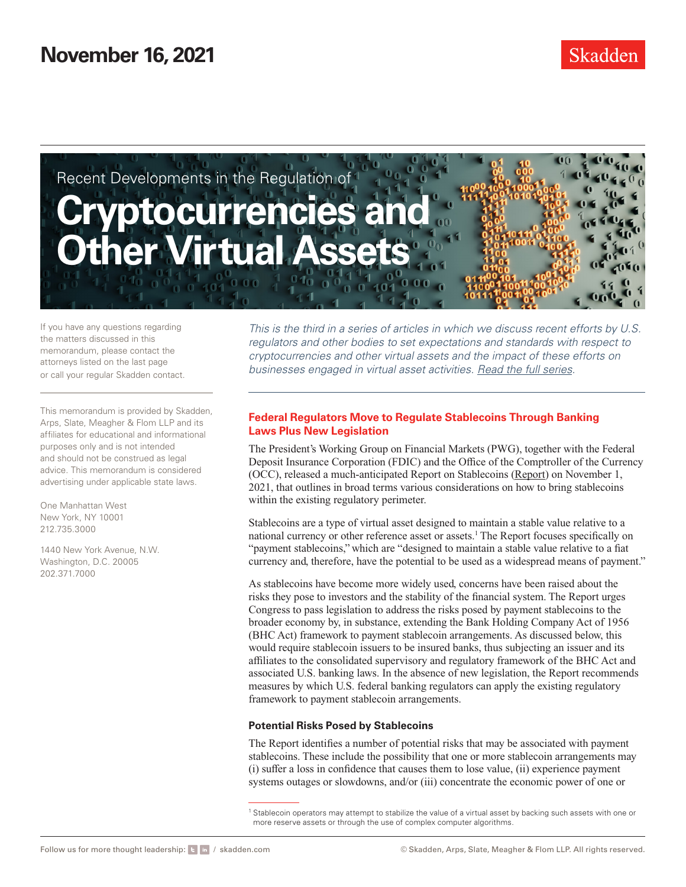

If you have any questions regarding the matters discussed in this memorandum, please contact the attorneys listed on the last page or call your regular Skadden contact.

This memorandum is provided by Skadden, Arps, Slate, Meagher & Flom LLP and its affiliates for educational and informational purposes only and is not intended and should not be construed as legal advice. This memorandum is considered advertising under applicable state laws.

One Manhattan West New York, NY 10001 212.735.3000

1440 New York Avenue, N.W. Washington, D.C. 20005 202.371.7000

*This is the third in a series of articles in which we discuss recent efforts by U.S. regulators and other bodies to set expectations and standards with respect to cryptocurrencies and other virtual assets and the impact of these efforts on businesses engaged in virtual asset activities. [Read the full series.](https://www.skadden.com/insights/publications/2021/11/recent-developments-in-the-regulation-of-virtual-assets/recent-developments-in-the-regulation-of-virtual-assets)* 

### **Federal Regulators Move to Regulate Stablecoins Through Banking Laws Plus New Legislation**

The President's Working Group on Financial Markets (PWG), together with the Federal Deposit Insurance Corporation (FDIC) and the Office of the Comptroller of the Currency (OCC), released a much-anticipated Report on Stablecoins ([Report\)](https://www.skadden.com/-/media/files/publications/2021/11/recent-developments-in-the-regulation-of-virtual-assets/stablecoinreport_nov1_508.pdf) on November 1, 2021, that outlines in broad terms various considerations on how to bring stablecoins within the existing regulatory perimeter.

Stablecoins are a type of virtual asset designed to maintain a stable value relative to a national currency or other reference asset or assets.<sup>1</sup> The Report focuses specifically on "payment stablecoins," which are "designed to maintain a stable value relative to a fiat currency and, therefore, have the potential to be used as a widespread means of payment."

As stablecoins have become more widely used, concerns have been raised about the risks they pose to investors and the stability of the financial system. The Report urges Congress to pass legislation to address the risks posed by payment stablecoins to the broader economy by, in substance, extending the Bank Holding Company Act of 1956 (BHC Act) framework to payment stablecoin arrangements. As discussed below, this would require stablecoin issuers to be insured banks, thus subjecting an issuer and its affiliates to the consolidated supervisory and regulatory framework of the BHC Act and associated U.S. banking laws. In the absence of new legislation, the Report recommends measures by which U.S. federal banking regulators can apply the existing regulatory framework to payment stablecoin arrangements.

#### **Potential Risks Posed by Stablecoins**

The Report identifies a number of potential risks that may be associated with payment stablecoins. These include the possibility that one or more stablecoin arrangements may (i) suffer a loss in confidence that causes them to lose value, (ii) experience payment systems outages or slowdowns, and/or (iii) concentrate the economic power of one or

<sup>&</sup>lt;sup>1</sup> Stablecoin operators may attempt to stabilize the value of a virtual asset by backing such assets with one or more reserve assets or through the use of complex computer algorithms.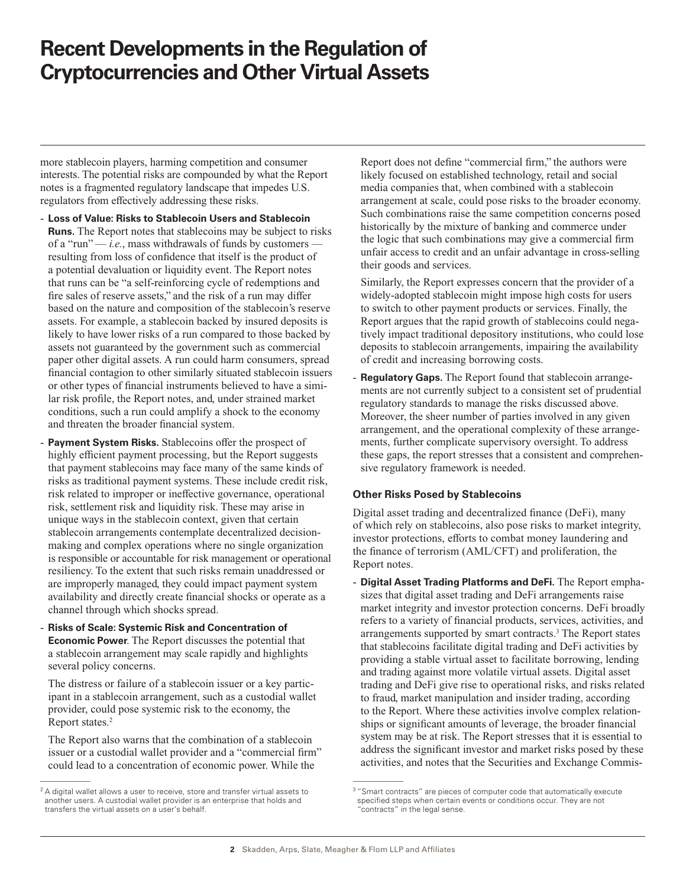# **Recent Developments in the Regulation of Cryptocurrencies and Other Virtual Assets**

more stablecoin players, harming competition and consumer interests. The potential risks are compounded by what the Report notes is a fragmented regulatory landscape that impedes U.S. regulators from effectively addressing these risks.

- **Loss of Value: Risks to Stablecoin Users and Stablecoin Runs.** The Report notes that stablecoins may be subject to risks of a "run" — *i.e.*, mass withdrawals of funds by customers resulting from loss of confidence that itself is the product of a potential devaluation or liquidity event. The Report notes that runs can be "a self-reinforcing cycle of redemptions and fire sales of reserve assets," and the risk of a run may differ based on the nature and composition of the stablecoin's reserve assets. For example, a stablecoin backed by insured deposits is likely to have lower risks of a run compared to those backed by assets not guaranteed by the government such as commercial paper other digital assets. A run could harm consumers, spread financial contagion to other similarly situated stablecoin issuers or other types of financial instruments believed to have a similar risk profile, the Report notes, and, under strained market conditions, such a run could amplify a shock to the economy and threaten the broader financial system.
- **Payment System Risks.** Stablecoins offer the prospect of highly efficient payment processing, but the Report suggests that payment stablecoins may face many of the same kinds of risks as traditional payment systems. These include credit risk, risk related to improper or ineffective governance, operational risk, settlement risk and liquidity risk. These may arise in unique ways in the stablecoin context, given that certain stablecoin arrangements contemplate decentralized decisionmaking and complex operations where no single organization is responsible or accountable for risk management or operational resiliency. To the extent that such risks remain unaddressed or are improperly managed, they could impact payment system availability and directly create financial shocks or operate as a channel through which shocks spread.
- **Risks of Scale: Systemic Risk and Concentration of Economic Power**. The Report discusses the potential that a stablecoin arrangement may scale rapidly and highlights several policy concerns.

The distress or failure of a stablecoin issuer or a key participant in a stablecoin arrangement, such as a custodial wallet provider, could pose systemic risk to the economy, the Report states.<sup>2</sup>

The Report also warns that the combination of a stablecoin issuer or a custodial wallet provider and a "commercial firm" could lead to a concentration of economic power. While the

Report does not define "commercial firm," the authors were likely focused on established technology, retail and social media companies that, when combined with a stablecoin arrangement at scale, could pose risks to the broader economy. Such combinations raise the same competition concerns posed historically by the mixture of banking and commerce under the logic that such combinations may give a commercial firm unfair access to credit and an unfair advantage in cross-selling their goods and services.

Similarly, the Report expresses concern that the provider of a widely-adopted stablecoin might impose high costs for users to switch to other payment products or services. Finally, the Report argues that the rapid growth of stablecoins could negatively impact traditional depository institutions, who could lose deposits to stablecoin arrangements, impairing the availability of credit and increasing borrowing costs.

**Regulatory Gaps.** The Report found that stablecoin arrangements are not currently subject to a consistent set of prudential regulatory standards to manage the risks discussed above. Moreover, the sheer number of parties involved in any given arrangement, and the operational complexity of these arrangements, further complicate supervisory oversight. To address these gaps, the report stresses that a consistent and comprehensive regulatory framework is needed.

#### **Other Risks Posed by Stablecoins**

Digital asset trading and decentralized finance (DeFi), many of which rely on stablecoins, also pose risks to market integrity, investor protections, efforts to combat money laundering and the finance of terrorism (AML/CFT) and proliferation, the Report notes.

- **Digital Asset Trading Platforms and DeFi.** The Report emphasizes that digital asset trading and DeFi arrangements raise market integrity and investor protection concerns. DeFi broadly refers to a variety of financial products, services, activities, and arrangements supported by smart contracts.3 The Report states that stablecoins facilitate digital trading and DeFi activities by providing a stable virtual asset to facilitate borrowing, lending and trading against more volatile virtual assets. Digital asset trading and DeFi give rise to operational risks, and risks related to fraud, market manipulation and insider trading, according to the Report. Where these activities involve complex relationships or significant amounts of leverage, the broader financial system may be at risk. The Report stresses that it is essential to address the significant investor and market risks posed by these activities, and notes that the Securities and Exchange Commis-

 $2A$  digital wallet allows a user to receive, store and transfer virtual assets to another users. A custodial wallet provider is an enterprise that holds and transfers the virtual assets on a user's behalf.

<sup>&</sup>lt;sup>3</sup> "Smart contracts" are pieces of computer code that automatically execute specified steps when certain events or conditions occur. They are not contracts" in the legal sense.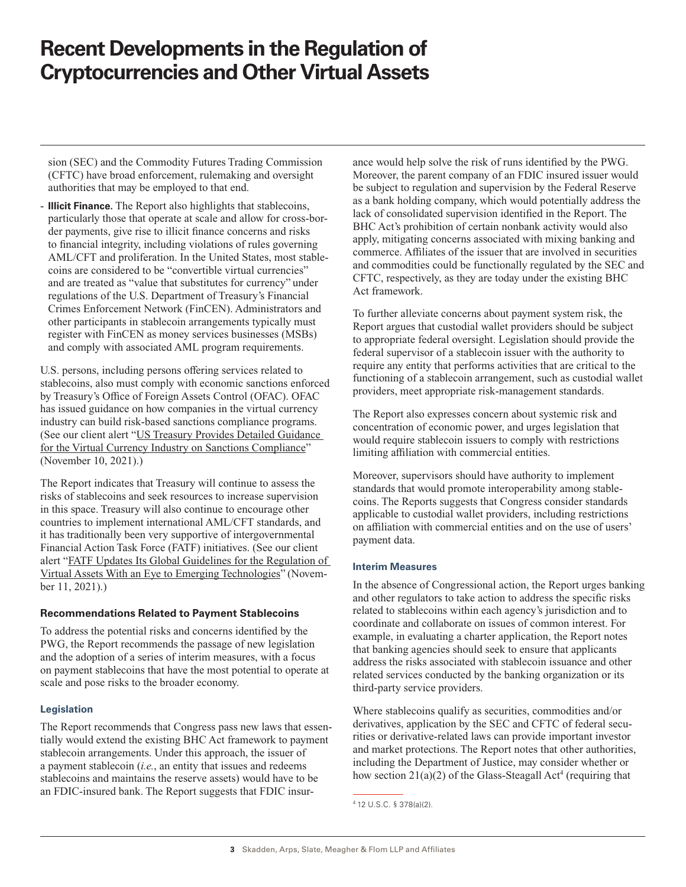# **Recent Developments in the Regulation of Cryptocurrencies and Other Virtual Assets**

sion (SEC) and the Commodity Futures Trading Commission (CFTC) have broad enforcement, rulemaking and oversight authorities that may be employed to that end.

- **Illicit Finance.** The Report also highlights that stablecoins, particularly those that operate at scale and allow for cross-border payments, give rise to illicit finance concerns and risks to financial integrity, including violations of rules governing AML/CFT and proliferation. In the United States, most stablecoins are considered to be "convertible virtual currencies" and are treated as "value that substitutes for currency" under regulations of the U.S. Department of Treasury's Financial Crimes Enforcement Network (FinCEN). Administrators and other participants in stablecoin arrangements typically must register with FinCEN as money services businesses (MSBs) and comply with associated AML program requirements.

U.S. persons, including persons offering services related to stablecoins, also must comply with economic sanctions enforced by Treasury's Office of Foreign Assets Control (OFAC). OFAC has issued guidance on how companies in the virtual currency industry can build risk-based sanctions compliance programs. (See our client alert "[US Treasury Provides Detailed Guidance](https://www.skadden.com/insights/publications/2021/11/recent-developments-in-the-regulation-of-virtual-assets/us-treasury-provides-detailed-guidance)  [for the Virtual Currency Industry on Sanctions Compliance](https://www.skadden.com/insights/publications/2021/11/recent-developments-in-the-regulation-of-virtual-assets/us-treasury-provides-detailed-guidance)" (November 10, 2021).)

The Report indicates that Treasury will continue to assess the risks of stablecoins and seek resources to increase supervision in this space. Treasury will also continue to encourage other countries to implement international AML/CFT standards, and it has traditionally been very supportive of intergovernmental Financial Action Task Force (FATF) initiatives. (See our client alert "[FATF Updates Its Global Guidelines for the Regulation of](https://www.skadden.com/insights/publications/2021/11/recent-developments-in-the-regulation-of-virtual-assets/fatf-updates-its-global-guidelines)  [Virtual Assets With an Eye to Emerging Technologies](https://www.skadden.com/insights/publications/2021/11/recent-developments-in-the-regulation-of-virtual-assets/fatf-updates-its-global-guidelines)" (November 11, 2021).)

#### **Recommendations Related to Payment Stablecoins**

To address the potential risks and concerns identified by the PWG, the Report recommends the passage of new legislation and the adoption of a series of interim measures, with a focus on payment stablecoins that have the most potential to operate at scale and pose risks to the broader economy.

#### **Legislation**

The Report recommends that Congress pass new laws that essentially would extend the existing BHC Act framework to payment stablecoin arrangements. Under this approach, the issuer of a payment stablecoin (*i.e.*, an entity that issues and redeems stablecoins and maintains the reserve assets) would have to be an FDIC-insured bank. The Report suggests that FDIC insurance would help solve the risk of runs identified by the PWG. Moreover, the parent company of an FDIC insured issuer would be subject to regulation and supervision by the Federal Reserve as a bank holding company, which would potentially address the lack of consolidated supervision identified in the Report. The BHC Act's prohibition of certain nonbank activity would also apply, mitigating concerns associated with mixing banking and commerce. Affiliates of the issuer that are involved in securities and commodities could be functionally regulated by the SEC and CFTC, respectively, as they are today under the existing BHC Act framework.

To further alleviate concerns about payment system risk, the Report argues that custodial wallet providers should be subject to appropriate federal oversight. Legislation should provide the federal supervisor of a stablecoin issuer with the authority to require any entity that performs activities that are critical to the functioning of a stablecoin arrangement, such as custodial wallet providers, meet appropriate risk-management standards.

The Report also expresses concern about systemic risk and concentration of economic power, and urges legislation that would require stablecoin issuers to comply with restrictions limiting affiliation with commercial entities.

Moreover, supervisors should have authority to implement standards that would promote interoperability among stablecoins. The Reports suggests that Congress consider standards applicable to custodial wallet providers, including restrictions on affiliation with commercial entities and on the use of users' payment data.

#### **Interim Measures**

In the absence of Congressional action, the Report urges banking and other regulators to take action to address the specific risks related to stablecoins within each agency's jurisdiction and to coordinate and collaborate on issues of common interest. For example, in evaluating a charter application, the Report notes that banking agencies should seek to ensure that applicants address the risks associated with stablecoin issuance and other related services conducted by the banking organization or its third-party service providers.

Where stablecoins qualify as securities, commodities and/or derivatives, application by the SEC and CFTC of federal securities or derivative-related laws can provide important investor and market protections. The Report notes that other authorities, including the Department of Justice, may consider whether or how section  $21(a)(2)$  of the Glass-Steagall Act<sup>4</sup> (requiring that

<sup>4</sup> 12 U.S.C. § 378(a)(2).